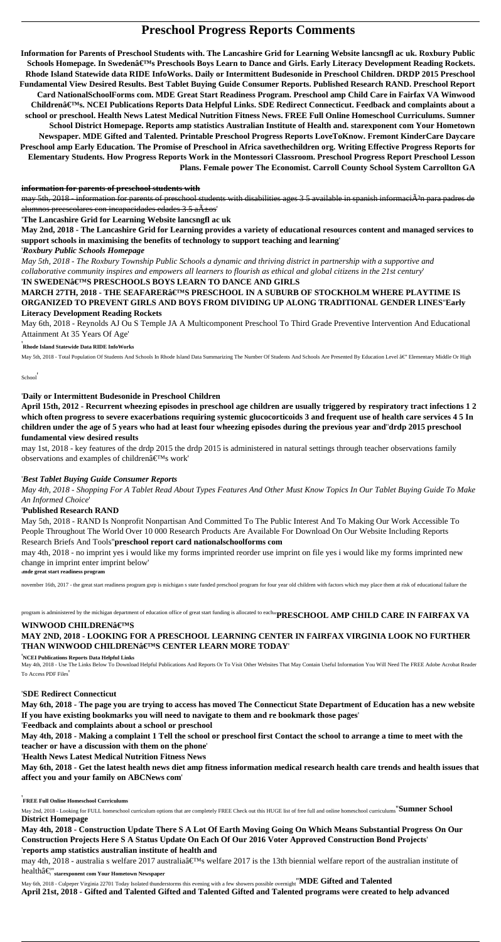# **Preschool Progress Reports Comments**

**Information for Parents of Preschool Students with. The Lancashire Grid for Learning Website lancsngfl ac uk. Roxbury Public** Schools Homepage. In Swedenâ€<sup>™</sup>s Preschools Boys Learn to Dance and Girls. Early Literacy Development Reading Rockets. **Rhode Island Statewide data RIDE InfoWorks. Daily or Intermittent Budesonide in Preschool Children. DRDP 2015 Preschool Fundamental View Desired Results. Best Tablet Buying Guide Consumer Reports. Published Research RAND. Preschool Report Card NationalSchoolForms com. MDE Great Start Readiness Program. Preschool amp Child Care in Fairfax VA Winwood Children's. NCEI Publications Reports Data Helpful Links. SDE Redirect Connecticut. Feedback and complaints about a school or preschool. Health News Latest Medical Nutrition Fitness News. FREE Full Online Homeschool Curriculums. Sumner School District Homepage. Reports amp statistics Australian Institute of Health and. starexponent com Your Hometown Newspaper. MDE Gifted and Talented. Printable Preschool Progress Reports LoveToKnow. Fremont KinderCare Daycare Preschool amp Early Education. The Promise of Preschool in Africa savethechildren org. Writing Effective Progress Reports for Elementary Students. How Progress Reports Work in the Montessori Classroom. Preschool Progress Report Preschool Lesson Plans. Female power The Economist. Carroll County School System Carrollton GA**

### **information for parents of preschool students with**

may 5th, 2018 - information for parents of preschool students with disabilities ages 3 5 available in spanish informaciA<sup>3</sup>n para padres de alumnos preescolares con incapacidades edades  $3.5$  a $\tilde{A}$ ±os'

may 1st, 2018 - key features of the drdp 2015 the drdp 2015 is administered in natural settings through teacher observations family observations and examples of children $\hat{a} \in T^{M}s$  work'

'**The Lancashire Grid for Learning Website lancsngfl ac uk**

**May 2nd, 2018 - The Lancashire Grid for Learning provides a variety of educational resources content and managed services to support schools in maximising the benefits of technology to support teaching and learning**'

### '*Roxbury Public Schools Homepage*

*May 5th, 2018 - The Roxbury Township Public Schools a dynamic and thriving district in partnership with a supportive and collaborative community inspires and empowers all learners to flourish as ethical and global citizens in the 21st century*'

### '**IN SWEDEN'S PRESCHOOLS BOYS LEARN TO DANCE AND GIRLS**

**MARCH 27TH, 2018 - THE SEAFARER'S PRESCHOOL IN A SUBURB OF STOCKHOLM WHERE PLAYTIME IS ORGANIZED TO PREVENT GIRLS AND BOYS FROM DIVIDING UP ALONG TRADITIONAL GENDER LINES**''**Early Literacy Development Reading Rockets**

May 6th, 2018 - Reynolds AJ Ou S Temple JA A Multicomponent Preschool To Third Grade Preventive Intervention And Educational Attainment At 35 Years Of Age'

### '**Rhode Island Statewide Data RIDE InfoWorks**

May 5th, 2018 - Total Population Of Students And Schools In Rhode Island Data Summarizing The Number Of Students And Schools Are Presented By Education Level â€" Elementary Middle Or High

School'

# '**Daily or Intermittent Budesonide in Preschool Children**

**April 15th, 2012 - Recurrent wheezing episodes in preschool age children are usually triggered by respiratory tract infections 1 2 which often progress to severe exacerbations requiring systemic glucocorticoids 3 and frequent use of health care services 4 5 In children under the age of 5 years who had at least four wheezing episodes during the previous year and**''**drdp 2015 preschool fundamental view desired results**

may 4th, 2018 - australia s welfare 2017 australia $\hat{\epsilon}$ <sup>TM</sup>s welfare 2017 is the 13th biennial welfare report of the australian institute of health…''**starexponent com Your Hometown Newspaper**

# '*Best Tablet Buying Guide Consumer Reports*

*May 4th, 2018 - Shopping For A Tablet Read About Types Features And Other Must Know Topics In Our Tablet Buying Guide To Make An Informed Choice*'

# '**Published Research RAND**

May 5th, 2018 - RAND Is Nonprofit Nonpartisan And Committed To The Public Interest And To Making Our Work Accessible To People Throughout The World Over 10 000 Research Products Are Available For Download On Our Website Including Reports Research Briefs And Tools''**preschool report card nationalschoolforms com**

may 4th, 2018 - no imprint yes i would like my forms imprinted reorder use imprint on file yes i would like my forms imprinted new change in imprint enter imprint below'

'**mde great start readiness program**

november 16th, 2017 - the great start readiness program gsrp is michigan s state funded preschool program for four year old children with factors which may place them at risk of educational failure the

program is administered by the michigan department of education office of great start funding is allocated to each''**PRESCHOOL AMP CHILD CARE IN FAIRFAX VA**

# **WINWOOD CHILDREN'S MAY 2ND, 2018 - LOOKING FOR A PRESCHOOL LEARNING CENTER IN FAIRFAX VIRGINIA LOOK NO FURTHER** THAN WINWOOD CHILDREN'S CENTER LEARN MORE TODAY

#### '**NCEI Publications Reports Data Helpful Links**

May 4th, 2018 - Use The Links Below To Download Helpful Publications And Reports Or To Visit Other Websites That May Contain Useful Information You Will Need The FREE Adobe Acrobat Reader To Access PDF Files'

'**SDE Redirect Connecticut**

**May 6th, 2018 - The page you are trying to access has moved The Connecticut State Department of Education has a new website If you have existing bookmarks you will need to navigate to them and re bookmark those pages**'

'**Feedback and complaints about a school or preschool**

**May 4th, 2018 - Making a complaint 1 Tell the school or preschool first Contact the school to arrange a time to meet with the**

**teacher or have a discussion with them on the phone**'

'**Health News Latest Medical Nutrition Fitness News**

**May 6th, 2018 - Get the latest health news diet amp fitness information medical research health care trends and health issues that affect you and your family on ABCNews com**'

'**FREE Full Online Homeschool Curriculums**

May 2nd, 2018 - Looking for FULL homeschool curriculum options that are completely FREE Check out this HUGE list of free full and online homeschool curriculums''**Sumner School District Homepage**

**May 4th, 2018 - Construction Update There S A Lot Of Earth Moving Going On Which Means Substantial Progress On Our Construction Projects Here S A Status Update On Each Of Our 2016 Voter Approved Construction Bond Projects**' '**reports amp statistics australian institute of health and**

May 6th, 2018 - Culpeper Virginia 22701 Today Isolated thunderstorms this evening with a few showers possible overnight''**MDE Gifted and Talented April 21st, 2018 - Gifted and Talented Gifted and Talented Gifted and Talented programs were created to help advanced**